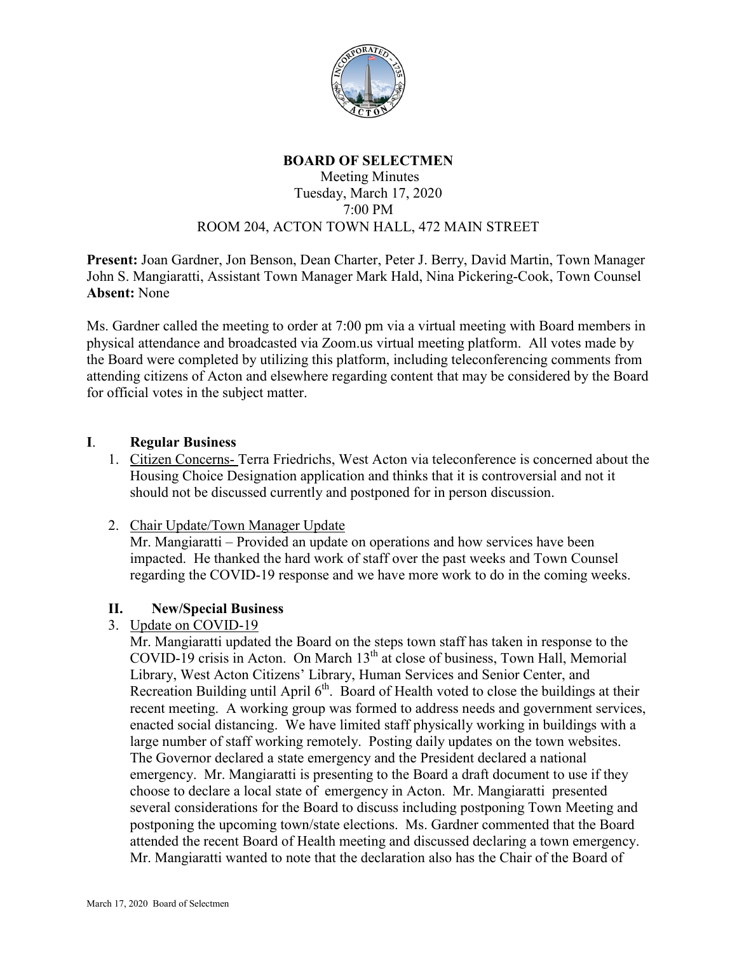

# **BOARD OF SELECTMEN**

#### Meeting Minutes Tuesday, March 17, 2020 7:00 PM ROOM 204, ACTON TOWN HALL, 472 MAIN STREET

**Present:** Joan Gardner, Jon Benson, Dean Charter, Peter J. Berry, David Martin, Town Manager John S. Mangiaratti, Assistant Town Manager Mark Hald, Nina Pickering-Cook, Town Counsel **Absent:** None

Ms. Gardner called the meeting to order at 7:00 pm via a virtual meeting with Board members in physical attendance and broadcasted via Zoom.us virtual meeting platform. All votes made by the Board were completed by utilizing this platform, including teleconferencing comments from attending citizens of Acton and elsewhere regarding content that may be considered by the Board for official votes in the subject matter.

#### **I**. **Regular Business**

- 1. Citizen Concerns- Terra Friedrichs, West Acton via teleconference is concerned about the Housing Choice Designation application and thinks that it is controversial and not it should not be discussed currently and postponed for in person discussion.
- 2. Chair Update/Town Manager Update

Mr. Mangiaratti – Provided an update on operations and how services have been impacted. He thanked the hard work of staff over the past weeks and Town Counsel regarding the COVID-19 response and we have more work to do in the coming weeks.

## **II. New/Special Business**

## 3. Update on COVID-19

Mr. Mangiaratti updated the Board on the steps town staff has taken in response to the COVID-19 crisis in Acton. On March  $13<sup>th</sup>$  at close of business, Town Hall, Memorial Library, West Acton Citizens' Library, Human Services and Senior Center, and Recreation Building until April 6<sup>th</sup>. Board of Health voted to close the buildings at their recent meeting. A working group was formed to address needs and government services, enacted social distancing. We have limited staff physically working in buildings with a large number of staff working remotely. Posting daily updates on the town websites. The Governor declared a state emergency and the President declared a national emergency. Mr. Mangiaratti is presenting to the Board a draft document to use if they choose to declare a local state of emergency in Acton. Mr. Mangiaratti presented several considerations for the Board to discuss including postponing Town Meeting and postponing the upcoming town/state elections. Ms. Gardner commented that the Board attended the recent Board of Health meeting and discussed declaring a town emergency. Mr. Mangiaratti wanted to note that the declaration also has the Chair of the Board of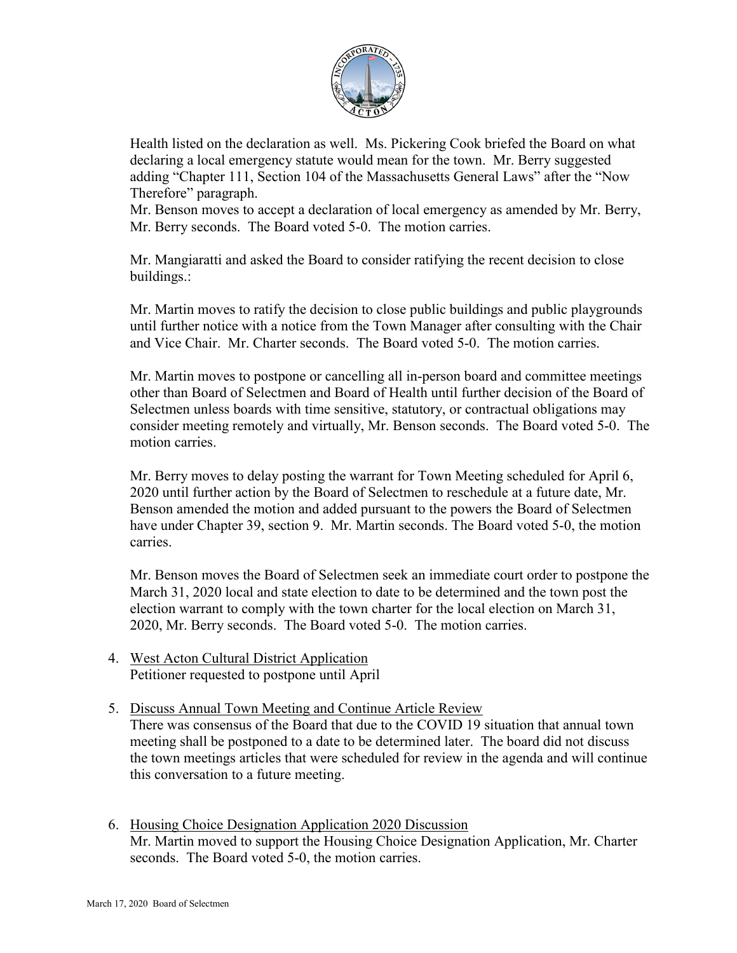

Health listed on the declaration as well. Ms. Pickering Cook briefed the Board on what declaring a local emergency statute would mean for the town. Mr. Berry suggested adding "Chapter 111, Section 104 of the Massachusetts General Laws" after the "Now Therefore" paragraph.

Mr. Benson moves to accept a declaration of local emergency as amended by Mr. Berry, Mr. Berry seconds. The Board voted 5-0. The motion carries.

Mr. Mangiaratti and asked the Board to consider ratifying the recent decision to close buildings.:

Mr. Martin moves to ratify the decision to close public buildings and public playgrounds until further notice with a notice from the Town Manager after consulting with the Chair and Vice Chair. Mr. Charter seconds. The Board voted 5-0. The motion carries.

Mr. Martin moves to postpone or cancelling all in-person board and committee meetings other than Board of Selectmen and Board of Health until further decision of the Board of Selectmen unless boards with time sensitive, statutory, or contractual obligations may consider meeting remotely and virtually, Mr. Benson seconds. The Board voted 5-0. The motion carries.

Mr. Berry moves to delay posting the warrant for Town Meeting scheduled for April 6, 2020 until further action by the Board of Selectmen to reschedule at a future date, Mr. Benson amended the motion and added pursuant to the powers the Board of Selectmen have under Chapter 39, section 9. Mr. Martin seconds. The Board voted 5-0, the motion carries.

Mr. Benson moves the Board of Selectmen seek an immediate court order to postpone the March 31, 2020 local and state election to date to be determined and the town post the election warrant to comply with the town charter for the local election on March 31, 2020, Mr. Berry seconds. The Board voted 5-0. The motion carries.

- 4. West Acton Cultural District Application Petitioner requested to postpone until April
- 5. Discuss Annual Town Meeting and Continue Article Review There was consensus of the Board that due to the COVID 19 situation that annual town meeting shall be postponed to a date to be determined later. The board did not discuss the town meetings articles that were scheduled for review in the agenda and will continue this conversation to a future meeting.
- 6. Housing Choice Designation Application 2020 Discussion Mr. Martin moved to support the Housing Choice Designation Application, Mr. Charter seconds. The Board voted 5-0, the motion carries.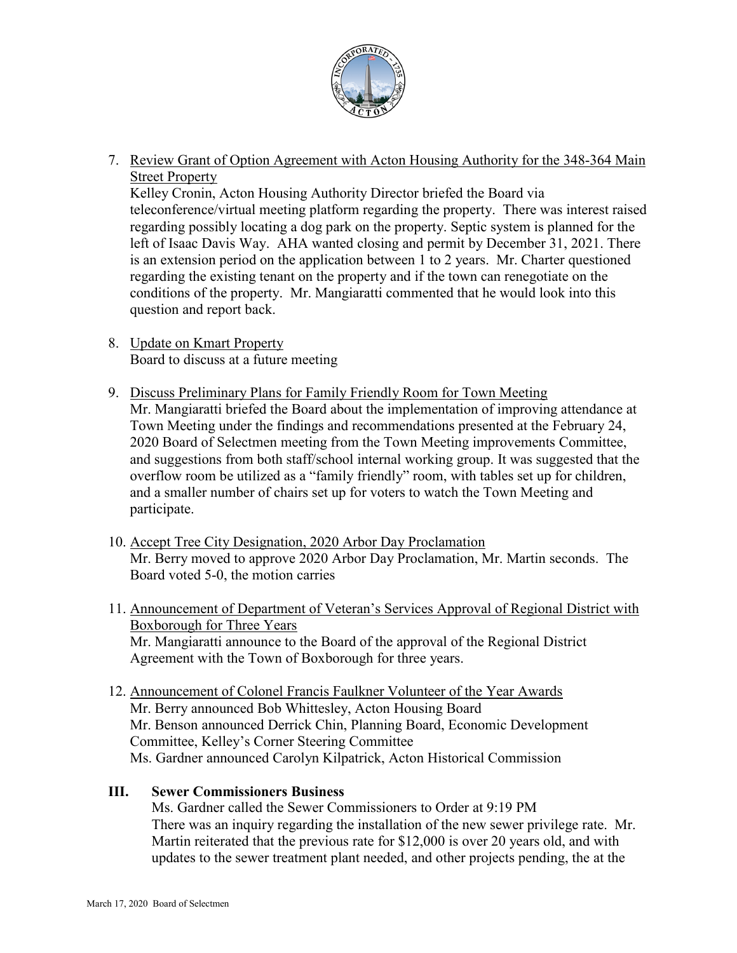

7. Review Grant of Option Agreement with Acton Housing Authority for the 348-364 Main Street Property

Kelley Cronin, Acton Housing Authority Director briefed the Board via teleconference/virtual meeting platform regarding the property. There was interest raised regarding possibly locating a dog park on the property. Septic system is planned for the left of Isaac Davis Way. AHA wanted closing and permit by December 31, 2021. There is an extension period on the application between 1 to 2 years. Mr. Charter questioned regarding the existing tenant on the property and if the town can renegotiate on the conditions of the property. Mr. Mangiaratti commented that he would look into this question and report back.

- 8. Update on Kmart Property Board to discuss at a future meeting
- 9. Discuss Preliminary Plans for Family Friendly Room for Town Meeting Mr. Mangiaratti briefed the Board about the implementation of improving attendance at Town Meeting under the findings and recommendations presented at the February 24, 2020 Board of Selectmen meeting from the Town Meeting improvements Committee, and suggestions from both staff/school internal working group. It was suggested that the overflow room be utilized as a "family friendly" room, with tables set up for children, and a smaller number of chairs set up for voters to watch the Town Meeting and participate.
- 10. Accept Tree City Designation, 2020 Arbor Day Proclamation Mr. Berry moved to approve 2020 Arbor Day Proclamation, Mr. Martin seconds. The Board voted 5-0, the motion carries
- 11. Announcement of Department of Veteran's Services Approval of Regional District with Boxborough for Three Years Mr. Mangiaratti announce to the Board of the approval of the Regional District Agreement with the Town of Boxborough for three years.
- 12. Announcement of Colonel Francis Faulkner Volunteer of the Year Awards Mr. Berry announced Bob Whittesley, Acton Housing Board Mr. Benson announced Derrick Chin, Planning Board, Economic Development Committee, Kelley's Corner Steering Committee Ms. Gardner announced Carolyn Kilpatrick, Acton Historical Commission

## **III. Sewer Commissioners Business**

Ms. Gardner called the Sewer Commissioners to Order at 9:19 PM There was an inquiry regarding the installation of the new sewer privilege rate. Mr. Martin reiterated that the previous rate for \$12,000 is over 20 years old, and with updates to the sewer treatment plant needed, and other projects pending, the at the